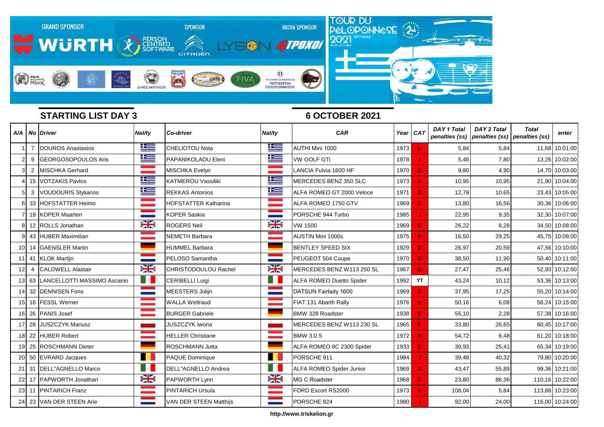

|                 |                | A/A   No   Driver           | Nat/ty                                                                                                                             | <b>Co-driver</b>            | Nat/ty                                                                                                                             | <b>CAR</b>                      | Year CAT |    | <b>DAY 1 Total</b><br>penalties (ss) | <b>DAY 2 Total</b><br>penalties (ss) penalties (ss) | <b>Total</b> | enter           |
|-----------------|----------------|-----------------------------|------------------------------------------------------------------------------------------------------------------------------------|-----------------------------|------------------------------------------------------------------------------------------------------------------------------------|---------------------------------|----------|----|--------------------------------------|-----------------------------------------------------|--------------|-----------------|
|                 | $\overline{7}$ | DOUROS Anastasios           | 些                                                                                                                                  | <b>CHELIOTOU Nota</b>       | 些                                                                                                                                  | AUTHI Mini 1000                 | 1973     | н  | 5,84                                 | 5,84                                                |              | 11,68 10:01:00  |
| $\overline{2}$  | 9              | GEORGOSOPOULOS Aris         | 坚                                                                                                                                  | PAPANIKOLAOU Eleni          | 些                                                                                                                                  | <b>VW GOLF GTi</b>              | 1978     |    | 5,46                                 | 7,80                                                |              | 13,26 10:02:00  |
| 3               |                | 2 MISCHKA Gerhard           | an an Indonesia.<br>Tanah tanah tanah tanah tanah tanah tanah tanah tanah tanah tanah tanah tanah tanah tanah tanah tanah tanah ta | <b>MISCHKA Evelyn</b>       |                                                                                                                                    | LANCIA Fulvia 1600 HF           | 1970     | G  | 9,80                                 | 4,90                                                |              | 14,70 10:03:00  |
|                 |                | 15 VOTZAKIS Pavlos          | <u>is </u>                                                                                                                         | <b>KATMEROU Vassiliki</b>   | ĥ                                                                                                                                  | MERCEDES BENZ 350 SLC           | 1973     | н  | 10,95                                | 10,95                                               |              | 21,90 10:04:00  |
| 5               | 3              | <b>VOUDOURIS Stylianos</b>  | Ħ                                                                                                                                  | <b>REKKAS Antonios</b>      | <u>is </u>                                                                                                                         | ALFA ROMEO GT 2000 Veloce       | 1971     | G  | 12,78                                | 10,65                                               |              | 23,43 10:05:00  |
| 6               |                | 33 HOFSTATTER Heimo         | and the company                                                                                                                    | <b>HOFSTATTER Katharina</b> | an an Aonaichte                                                                                                                    | ALFA ROMEO 1750 GTV             | 1969     | G  | 13,80                                | 16,56                                               |              | 30,36 10:06:00  |
|                 |                | 18 KOPER Maarten            |                                                                                                                                    | <b>KOPER Saskia</b>         |                                                                                                                                    | PORSCHE 944 Turbo               | 1985     |    | 22,95                                | 9,35                                                |              | 32,30 10:07:00  |
| 8               |                | 12 ROLLS Jonathan           | <b>SK</b>                                                                                                                          | <b>ROGERS Neil</b>          | 23                                                                                                                                 | <b>VW 1500</b>                  | 1969     | G  | 26,22                                | 8,28                                                |              | 34,50 10:08:00  |
|                 |                | 43 HUBER Maximilian         | and the control                                                                                                                    | <b>NEMETH Barbara</b>       |                                                                                                                                    | <b>AUSTIN Mini 1000s</b>        | 1975     | H. | 16,50                                | 29,25                                               |              | 45,75 10:09:00  |
| 101             |                | 14 GAENSLER Martin          |                                                                                                                                    | <b>HUMMEL Barbara</b>       |                                                                                                                                    | <b>BENTLEY SPEED SIX</b>        | 1929     | D. | 26,97                                | 20,59                                               |              | 47,56 10:10:00  |
|                 |                | 41 KLOK Martijn             | a sa n                                                                                                                             | PELOSO Samantha             | <b>STATISTICS</b>                                                                                                                  | PEUGEOT 504 Coupe               | 1970     | G  | 38,50                                | 11,90                                               |              | 50,40 10:11:00  |
| 12              | 4              | <b>CALDWELL Alastair</b>    | 23                                                                                                                                 | <b>CHRISTODOULOU Rachel</b> | NZ<br>$\blacksquare$                                                                                                               | MERCEDES BENZ W113 250 SL       | 1967     | G  | 27,47                                | 25,46                                               |              | 52,93 10:12:00  |
| 13 <sup>1</sup> | 63             | LANCELLOTTI MASSIMO Ascanio | a se                                                                                                                               | <b>CERIBELLI Luigi</b>      | H                                                                                                                                  | <b>ALFA ROMEO Duetto Spider</b> | 1992     | YT | 43,24                                | 10,12                                               |              | 53,36 10:13:00  |
| 14              |                | 32 DENNISEN Fons            | <b>Contract Contract</b>                                                                                                           | <b>MEESTERS Jolijn</b>      |                                                                                                                                    | DATSUN Fairlady 1600            | 1969     | G  | 37,95                                | 17,25                                               |              | 55,20 10:14:00  |
| 15              |                | 16 FESSL Werner             | a sa Tanzania.<br>Tanzania                                                                                                         | <b>WALLA Weltraud</b>       |                                                                                                                                    | FIAT 131 Abarth Rally           | 1976     | н  | 50,16                                | 6,08                                                |              | 56,24 10:15:00  |
| 16              |                | 26 PANIS Josef              | a a shekara                                                                                                                        | <b>BURGER Gabriele</b>      |                                                                                                                                    | <b>BMW 328 Roadster</b>         | 1938     | D. | 55,10                                | 2,28                                                |              | 57,38 10:16:00  |
|                 | 28             | <b>JUSZCZYK Mariusz</b>     | an an                                                                                                                              | <b>JUSZCZYK Iwona</b>       |                                                                                                                                    | MERCEDES BENZ W113 230 SL       | 1965     | F  | 33,80                                | 26,65                                               |              | 60,45 10:17:00  |
| 18              |                | 22 HUBER Robert             | an an Indonesia.<br>Tanzania                                                                                                       | <b>HELLER Christiane</b>    | an an Indonesia.<br>Tanah tanah tanah tanah tanah tanah tanah tanah tanah tanah tanah tanah tanah tanah tanah tanah tanah tanah ta | <b>BMW 3.0 S</b>                | 1972     | н  | 54,72                                | 6,48                                                |              | 61,20 10:18:00  |
| 19              |                | 25 ROSCHMANN Dieter         | ٠                                                                                                                                  | <b>ROSCHMANN Jutta</b>      |                                                                                                                                    | ALFA ROMEO 8C 2300 Spider       | 1933     | D. | 39,93                                | 25,41                                               |              | 65,34 10:19:00  |
| 20              |                | 50 EVRARD Jacques           | n a s                                                                                                                              | PAQUE Dominique             |                                                                                                                                    | PORSCHE 911                     | 1984     |    | 39,48                                | 40,32                                               |              | 79,80 10:20:00  |
|                 |                | 21 31 DELL"AGNELLO Marco    | ш                                                                                                                                  | DELL"AGNELLO Andrea         | H.                                                                                                                                 | ALFA ROMEO Spider Junior        | 1969     | G  | 43,47                                | 55,89                                               |              | 99,36 10:21:00  |
|                 |                | 22 17 PAPWORTH Jonathan     | <b>SK</b>                                                                                                                          | PAPWORTH Lynn               | X                                                                                                                                  | <b>MG C Roadster</b>            | 1968     | G. | 23,80                                | 86,36                                               |              | 110,16 10:22:00 |
| 23              |                | 11 PINTARICH Franz          | a a shekara                                                                                                                        | <b>PINTARICH Ursula</b>     |                                                                                                                                    | FORD Escort RS2000              | 1973     | н  | 108,04                               | 5,84                                                |              | 113,88 10:23:00 |
| 24              |                | 23 VAN DER STEEN Arie       |                                                                                                                                    | VAN DER STEEN Matthijs      |                                                                                                                                    | PORSCHE 924                     | 1980     |    | 92,00                                | 24,00                                               |              | 116,00 10:24:00 |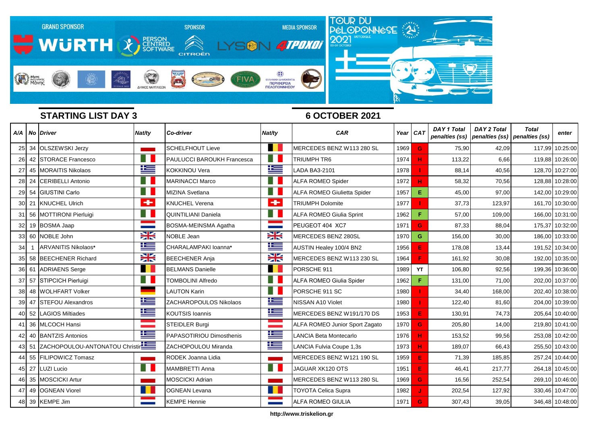

|                 |       | A/A   No   Driver                    | Nat/ty            | <b>Co-driver</b>                  | Nat/ty          | <b>CAR</b>                         |      | Year CAT | <b>DAY 1 Total</b> | <b>DAY 2 Total</b><br>penalties (ss) penalties (ss) penalties (ss) | <b>Total</b> | enter           |
|-----------------|-------|--------------------------------------|-------------------|-----------------------------------|-----------------|------------------------------------|------|----------|--------------------|--------------------------------------------------------------------|--------------|-----------------|
|                 |       | 25 34 OLSZEWSKI Jerzy                |                   | <b>SCHELFHOUT Lieve</b>           |                 | MERCEDES BENZ W113 280 SL          | 1969 | G        | 75,90              | 42,09                                                              | 117,99       | 10:25:00        |
| <b>26</b>       |       | 42 STORACE Francesco                 | H                 | <b>PAULUCCI BAROUKH Francesca</b> |                 | TRIUMPH TR6                        | 1974 | н        | 113,22             | 6,66                                                               |              | 119,88 10:26:00 |
| 27 <sub>l</sub> |       | 45 MORAITIS Nikolaos                 | ħ                 | <b>KOKKINOU Vera</b>              | 生               | LADA BA3-2101                      | 1978 |          | 88,14              | 40,56                                                              |              | 128,70 10:27:00 |
| 28              |       | 24   CERIBELLI Antonio               | H                 | <b>MARINACCI Marco</b>            | a s             | <b>ALFA ROMEO Spider</b>           | 1972 | н        | 58,32              | 70,56                                                              |              | 128,88 10:28:00 |
|                 |       | 29 54 GIUSTINI Carlo                 | H.                | <b>MIZINA Svetlana</b>            | ا ا             | <b>ALFA ROMEO Giulietta Spider</b> | 1957 | Е        | 45,00              | 97,00                                                              |              | 142,00 10:29:00 |
|                 | 30 21 | <b>KNUCHEL Ulrich</b>                | $\div$            | <b>KNUCHEL Verena</b>             | ÷               | <b>TRIUMPH Dolomite</b>            | 1977 |          | 37,73              | 123,97                                                             |              | 161,70 10:30:00 |
|                 |       | 31 56 MOTTIRONI Pierluigi            | a se              | <b>QUINTILIANI Daniela</b>        | HT.             | <b>ALFA ROMEO Giulia Sprint</b>    | 1962 | F.       | 57,00              | 109,00                                                             |              | 166,00 10:31:00 |
| 32 <sub>l</sub> |       | 19 BOSMA Jaap                        | <b>STATISTICS</b> | BOSMA-MEINSMA Agatha              |                 | PEUGEOT 404 XC7                    | 1971 | G.       | 87,33              | 88,04                                                              | 175,37       | 10:32:00        |
|                 |       | 33 60 NOBLE John                     | <b>SK</b>         | NOBLE Jean                        | <b>SK</b>       | MERCEDES BENZ 280SL                | 1970 | G        | 156,00             | 30,00                                                              |              | 186,00 10:33:00 |
| 34              |       | ARVANITIS Nikolaos*                  | 些                 | CHARALAMPAKI Ioanna*              | 些               | AUSTIN Healey 100/4 BN2            | 1956 | E        | 178,08             | 13,44                                                              |              | 191,52 10:34:00 |
| 35 <sup>1</sup> |       | 58 BEECHENER Richard                 | 23                | <b>BEECHENER Anja</b>             | X               | MERCEDES BENZ W113 230 SL          | 1964 | F        | 161,92             | 30,08                                                              |              | 192,00 10:35:00 |
| 36              | 61    | <b>ADRIAENS</b> Serge                |                   | <b>BELMANS Danielle</b>           | . .             | PORSCHE 911                        | 1989 | YT       | 106,80             | 92,56                                                              |              | 199,36 10:36:00 |
| 37 <sup>l</sup> |       | 57 STIPCICH Pierluigi                | Ħ                 | <b>TOMBOLINI Alfredo</b>          | H.              | ALFA ROMEO Giulia Spider           | 1962 | F.       | 131,00             | 71,00                                                              |              | 202,00 10:37:00 |
| 38 <sup>1</sup> |       | 48 WOLHFART Volker                   |                   | <b>LAUTON Karin</b>               | E I             | PORSCHE 911 SC                     | 1980 |          | 34,40              | 168,00                                                             |              | 202,40 10:38:00 |
| 39              |       | 47 STEFOU Alexandros                 | N                 | ZACHAROPOULOS Nikolaos            | ١Œ              | NISSAN A10 Violet                  | 1980 |          | 122,40             | 81,60                                                              |              | 204,00 10:39:00 |
|                 | 40 52 | <b>LAGIOS Miltiades</b>              | ħ                 | <b>KOUTSIS Ioannis</b>            | 坚               | MERCEDES BENZ W191/170 DS          | 1953 | E        | 130,91             | 74,73                                                              |              | 205,64 10:40:00 |
|                 |       | 41 36 MLCOCH Hansi                   | and the company   | <b>STEIDLER Burgi</b>             | and the company | ALFA ROMEO Junior Sport Zagato     | 1970 | G        | 205,80             | 14,00                                                              |              | 219,80 10:41:00 |
| 42              |       | 40 BANTZIS Antonios                  | N                 | <b>PAPASOTIRIOU Dimosthenis</b>   | 坚               | <b>LANCIA Beta Montecarlo</b>      | 1976 | н        | 153,52             | 99,56                                                              |              | 253,08 10:42:00 |
|                 |       | 43 51 ZACHOPOULOU-ANTONATOU Christin |                   | ZACHOPOULOU Miranda               | ١Œ              | LANCIA Fulvia Coupe 1,3s           | 1973 | н        | 189,07             | 66,43                                                              |              | 255,50 10:43:00 |
| 44 I            |       | 55 FILIPOWICZ Tomasz                 |                   | RODEK Joanna Lidia                |                 | MERCEDES BENZ W121 190 SL          | 1959 | E        | 71,39              | 185,85                                                             |              | 257,24 10:44:00 |
|                 |       | 45 27 LUZI Lucio                     | H                 | <b>MAMBRETTI Anna</b>             | a se            | JAGUAR XK120 OTS                   | 1951 | E        | 46,41              | 217,77                                                             |              | 264,18 10:45:00 |
|                 |       | 46 35 MOSCICKI Artur                 |                   | <b>MOSCICKI Adrian</b>            |                 | MERCEDES BENZ W113 280 SL          | 1969 | G.       | 16,56              | 252,54                                                             |              | 269,10 10:46:00 |
|                 |       | 47 49 OGNEAN Viorel                  | H.                | <b>OGNEAN Levana</b>              |                 | <b>TOYOTA Celica Supra</b>         | 1982 |          | 202,54             | 127,92                                                             |              | 330,46 10:47:00 |
| 48              |       | 39 KEMPE Jim                         |                   | <b>KEMPE Hennie</b>               |                 | ALFA ROMEO GIULIA                  | 1971 | G        | 307,43             | 39,05                                                              |              | 346,48 10:48:00 |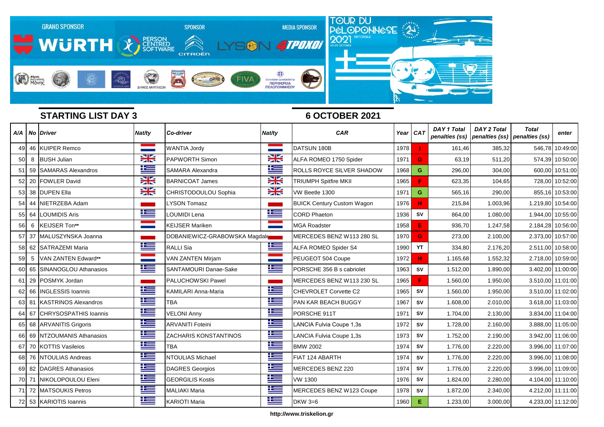

|           |    | A/A   No   Driver            | Nat/ty                                   | <b>Co-driver</b>              | Nat/ty    | <b>CAR</b>                        | Year I | CAT       | <b>DAY 1 Total</b><br>penalties (ss) | <b>DAY 2 Total</b><br>penalties (ss) penalties (ss) | <b>Total</b> | enter             |
|-----------|----|------------------------------|------------------------------------------|-------------------------------|-----------|-----------------------------------|--------|-----------|--------------------------------------|-----------------------------------------------------|--------------|-------------------|
| 49        |    | 46 KUIPER Remco              |                                          | <b>WANTIA Jordy</b>           |           | DATSUN 180B                       | 1978   |           | 161,46                               | 385,32                                              |              | 546,78 10:49:00   |
| 50        | 8  | <b>BUSH Julian</b>           | X                                        | <b>PAPWORTH Simon</b>         | X         | ALFA ROMEO 1750 Spider            | 1971   | G         | 63,19                                | 511,20                                              |              | 574,39 10:50:00   |
| 51        |    | 59 SAMARAS Alexandros        | 坚                                        | <b>SAMARA Alexandra</b>       | Ħ         | ROLLS ROYCE SILVER SHADOW         | 1968   | G         | 296,00                               | 304,00                                              |              | 600.00 10:51:00   |
| 52        |    | 20 FOWLER David              | ≍                                        | <b>BARNICOAT James</b>        | X         | <b>TRIUMPH Spitfire MKII</b>      | 1965   | F         | 623,35                               | 104,65                                              |              | 728,00 10:52:00   |
| 53        | 38 | <b>DUPEN Ella</b>            | X                                        | CHRISTODOULOU Sophia          | <b>XK</b> | VW Beetle 1300                    | 1971   | G         | 565,16                               | 290,00                                              |              | 855,16 10:53:00   |
| 54        | 44 | NIETRZEBA Adam               |                                          | <b>LYSON Tomasz</b>           |           | <b>BUICK Century Custom Wagon</b> | 1976   | н         | 215,84                               | 1.003,96                                            |              | 1.219,80 10:54:00 |
| 55        | 64 | <b>LOUMIDIS Aris</b>         | Ħ                                        | LOUMIDI Lena                  | Ħ         | <b>CORD Phaeton</b>               | 1936   | <b>SV</b> | 864,00                               | 1.080,00                                            |              | 1.944,00 10:55:00 |
| 56        | 6  | KEIJSER Ton**                | <b>START START</b><br><b>State State</b> | <b>KEIJSER Mariken</b>        |           | <b>MGA Roadster</b>               | 1958   | E         | 936,70                               | 1.247,58                                            |              | 2.184,28 10:56:00 |
| 57        |    | 37 MALUSZYNSKA Joanna        |                                          | DOBANIEWICZ-GRABOWSKA Magdale |           | MERCEDES BENZ W113 280 SL         | 1970   | G         | 273,00                               | 2.100,00                                            |              | 2.373,00 10:57:00 |
| 58        |    | 62 SATRAZEMI Maria           | 坚                                        | <b>RALLI Sia</b>              | 똑         | <b>ALFA ROMEO Spider S4</b>       | 1990   | YT        | 334,80                               | 2.176,20                                            |              | 2.511,00 10:58:00 |
| 59        | 5  | VAN ZANTEN Edward**          | <b>Contract</b>                          | <b>VAN ZANTEN Mirjam</b>      |           | PEUGEOT 504 Coupe                 | 1972   | н         | 1.165,68                             | 1.552,32                                            |              | 2.718,00 10:59:00 |
| 60 l      | 65 | SINANOGLOU Athanasios        | Ħ                                        | <b>SANTAMOURI Danae-Sake</b>  | 些         | PORSCHE 356 B s cabriolet         | 1963   | <b>SV</b> | 1.512,00                             | 1.890,00                                            |              | 3.402,00 11:00:00 |
| 61        | 29 | POSMYK Jordan                |                                          | <b>PALUCHOWSKI Pawel</b>      |           | MERCEDES BENZ W113 230 SL         | 1965   | F         | 1.560,00                             | 1.950,00                                            |              | 3.510,00 11:01:00 |
| 62        | 66 | <b>INGLESSIS Ioannis</b>     | 些                                        | KAMILARI Anna-Maria           | Ħ         | CHEVROLET Corvette C2             | 1965   | <b>SV</b> | 1.560,00                             | 1.950,00                                            |              | 3.510,00 11:02:00 |
| 63        | 81 | <b>KASTRINOS Alexandros</b>  | 连                                        | <b>TBA</b>                    | Ħ         | <b>PAN KAR BEACH BUGGY</b>        | 1967   | <b>SV</b> | 1.608,00                             | 2.010,00                                            |              | 3.618,00 11:03:00 |
| 64        | 67 | <b>CHRYSOSPATHIS Ioannis</b> | 坚                                        | <b>VELONI Anny</b>            | 些         | PORSCHE 911T                      | 1971   | <b>SV</b> | 1.704,00                             | 2.130,00                                            |              | 3.834,00 11:04:00 |
| 65        |    | 68 ARVANITIS Grigoris        | ١Œ                                       | <b>ARVANITI Foteini</b>       | ħ         | LANCIA Fulvia Coupe 1,3s          | 1972   | <b>SV</b> | 1.728,00                             | 2.160,00                                            |              | 3.888,00 11:05:00 |
| 66        | 69 | NTZOUMANIS Athanasios        | Ħ                                        | ZACHARIS KONSTANTINOS         | ħ         | LANCIA Fulvia Coupe 1,3s          | 1973   | <b>SV</b> | 1.752,00                             | 2.190,00                                            |              | 3.942,00 11:06:00 |
| 67        | 70 | <b>KOTTIS Vasileios</b>      | 上生                                       | <b>TBA</b>                    | 些         | <b>BMW 2002</b>                   | 1974   | <b>SV</b> | 1.776,00                             | 2.220,00                                            |              | 3.996,00 11:07:00 |
| 68        | 76 | NTOULIAS Andreas             | ١Œ                                       | NTOULIAS Michael              | N         | FIAT 124 ABARTH                   | 1974   | <b>SV</b> | 1.776,00                             | 2.220,00                                            |              | 3.996,00 11:08:00 |
| 69        |    | 82 DAGRES Athanasios         | Ħ                                        | <b>DAGRES</b> Georgios        | 些         | MERCEDES BENZ 220                 | 1974   | <b>SV</b> | 1.776,00                             | 2.220,00                                            |              | 3.996,00 11:09:00 |
|           |    | 70 71 NIKOLOPOULOU Eleni     | ١Œ                                       | <b>GEORGILIS Kostis</b>       | 些         | <b>VW 1300</b>                    | 1976   | <b>SV</b> | 1.824,00                             | 2.280,00                                            |              | 4.104,00 11:10:00 |
| <b>71</b> |    | 72 MATSOUKIS Petros          | 些                                        | <b>MALIAKI Maria</b>          | 些         | MERCEDES BENZ W123 Coupe          | 1978   | <b>SV</b> | 1.872,00                             | 2.340,00                                            |              | 4.212,00 11:11:00 |
| 72        |    | 53 KARIOTIS Ioannis          | 垤                                        | <b>KARIOTI Maria</b>          | 坚         | <b>DKW 3=6</b>                    | 1960   | E.        | 1.233,00                             | 3.000,00                                            |              | 4.233,00 11:12:00 |